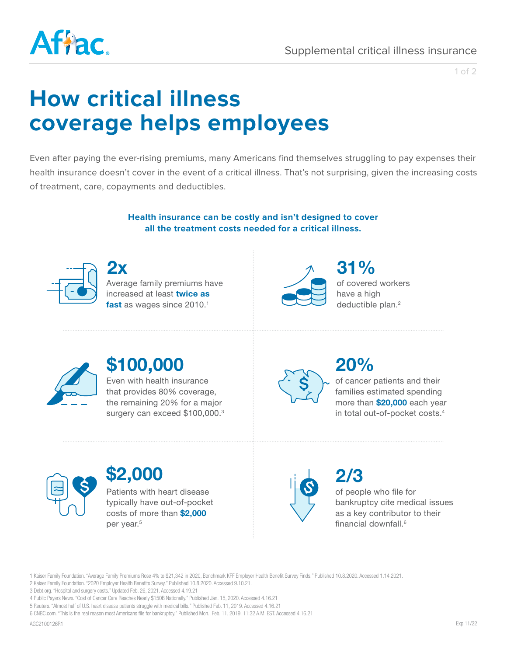

1 of 2

# **How critical illness coverage helps employees**

Even after paying the ever-rising premiums, many Americans find themselves struggling to pay expenses their health insurance doesn't cover in the event of a critical illness. That's not surprising, given the increasing costs of treatment, care, copayments and deductibles.

> **Health insurance can be costly and isn't designed to cover all the treatment costs needed for a critical illness.**



Average family premiums have increased at least **twice as**  fast as wages since 2010.<sup>1</sup> **2x 31%**



of covered workers have a high deductible plan.<sup>2</sup>



## **\$100,000**

Even with health insurance that provides 80% coverage, the remaining 20% for a major surgery can exceed \$100,000.<sup>3</sup>



### **20%**

of cancer patients and their families estimated spending more than **\$20,000** each year in total out-of-pocket costs.4



### **\$2,000**

Patients with heart disease typically have out-of-pocket costs of more than **\$2,000** per year.<sup>5</sup>



of people who file for bankruptcy cite medical issues as a key contributor to their financial downfall<sup>6</sup> **2/3**

1 Kaiser Family Foundation. "Average Family Premiums Rose 4% to \$21,342 in 2020, Benchmark KFF Employer Health Benefit Survey Finds." Published 10.8.2020. Accessed 1.14.2021.

2 Kaiser Family Foundation. "2020 Employer Health Benefits Survey." Published 10.8.2020. Accessed 9.10.21.

3 Debt.org. "Hospital and surgery costs." Updated Feb. 26, 2021. Accessed 4.19.21

4 Public Payers News. "Cost of Cancer Care Reaches Nearly \$150B Nationally." Published Jan. 15, 2020. Accessed 4.16.21

5 Reuters. "Almost half of U.S. heart disease patients struggle with medical bills." Published Feb. 11, 2019. Accessed 4.16.21

6 CNBC.com. "This is the real reason most Americans file for bankruptcy." Published Mon., Feb. 11, 2019, 11:32 A.M. EST. Accessed 4.16.21